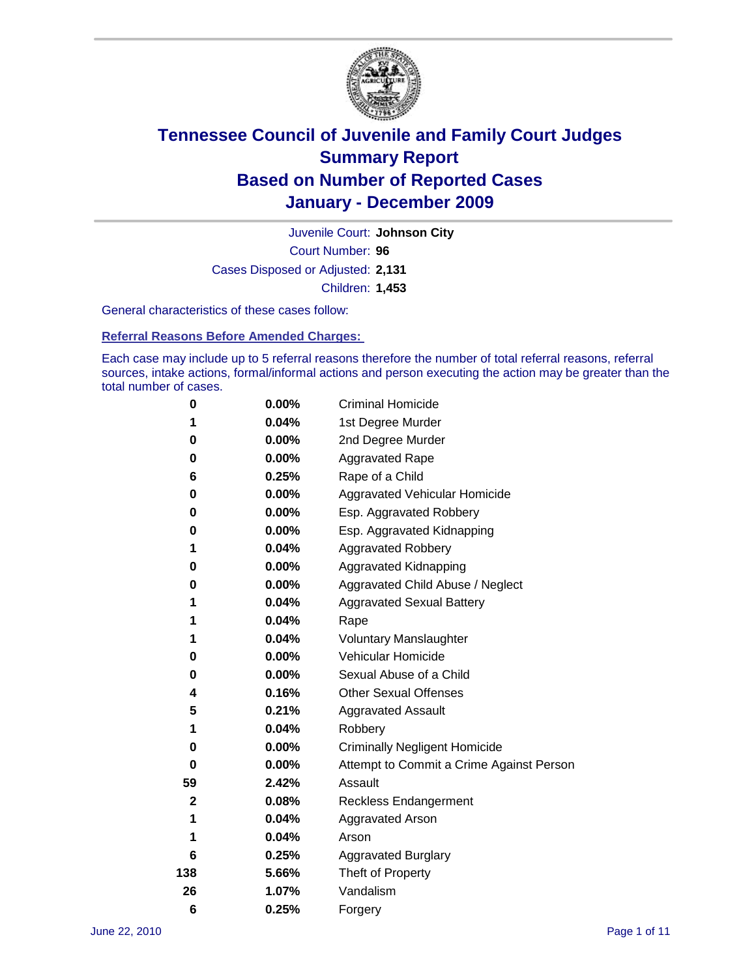

Court Number: **96** Juvenile Court: **Johnson City** Cases Disposed or Adjusted: **2,131** Children: **1,453**

General characteristics of these cases follow:

**Referral Reasons Before Amended Charges:** 

Each case may include up to 5 referral reasons therefore the number of total referral reasons, referral sources, intake actions, formal/informal actions and person executing the action may be greater than the total number of cases.

| 0            | $0.00\%$ | <b>Criminal Homicide</b>                 |
|--------------|----------|------------------------------------------|
| 1            | 0.04%    | 1st Degree Murder                        |
| 0            | $0.00\%$ | 2nd Degree Murder                        |
| 0            | 0.00%    | <b>Aggravated Rape</b>                   |
| 6            | 0.25%    | Rape of a Child                          |
| 0            | 0.00%    | Aggravated Vehicular Homicide            |
| 0            | 0.00%    | Esp. Aggravated Robbery                  |
| 0            | $0.00\%$ | Esp. Aggravated Kidnapping               |
| 1            | 0.04%    | <b>Aggravated Robbery</b>                |
| 0            | $0.00\%$ | Aggravated Kidnapping                    |
| 0            | 0.00%    | Aggravated Child Abuse / Neglect         |
| 1            | 0.04%    | <b>Aggravated Sexual Battery</b>         |
| 1            | 0.04%    | Rape                                     |
| 1            | 0.04%    | <b>Voluntary Manslaughter</b>            |
| 0            | 0.00%    | Vehicular Homicide                       |
| 0            | $0.00\%$ | Sexual Abuse of a Child                  |
| 4            | 0.16%    | <b>Other Sexual Offenses</b>             |
| 5            | 0.21%    | <b>Aggravated Assault</b>                |
| 1            | 0.04%    | Robbery                                  |
| 0            | 0.00%    | <b>Criminally Negligent Homicide</b>     |
| 0            | $0.00\%$ | Attempt to Commit a Crime Against Person |
| 59           | 2.42%    | Assault                                  |
| $\mathbf{2}$ | 0.08%    | <b>Reckless Endangerment</b>             |
| 1            | 0.04%    | <b>Aggravated Arson</b>                  |
| 1            | 0.04%    | Arson                                    |
| 6            | 0.25%    | <b>Aggravated Burglary</b>               |
| 138          | 5.66%    | Theft of Property                        |
| 26           | 1.07%    | Vandalism                                |
| 6            | 0.25%    | Forgery                                  |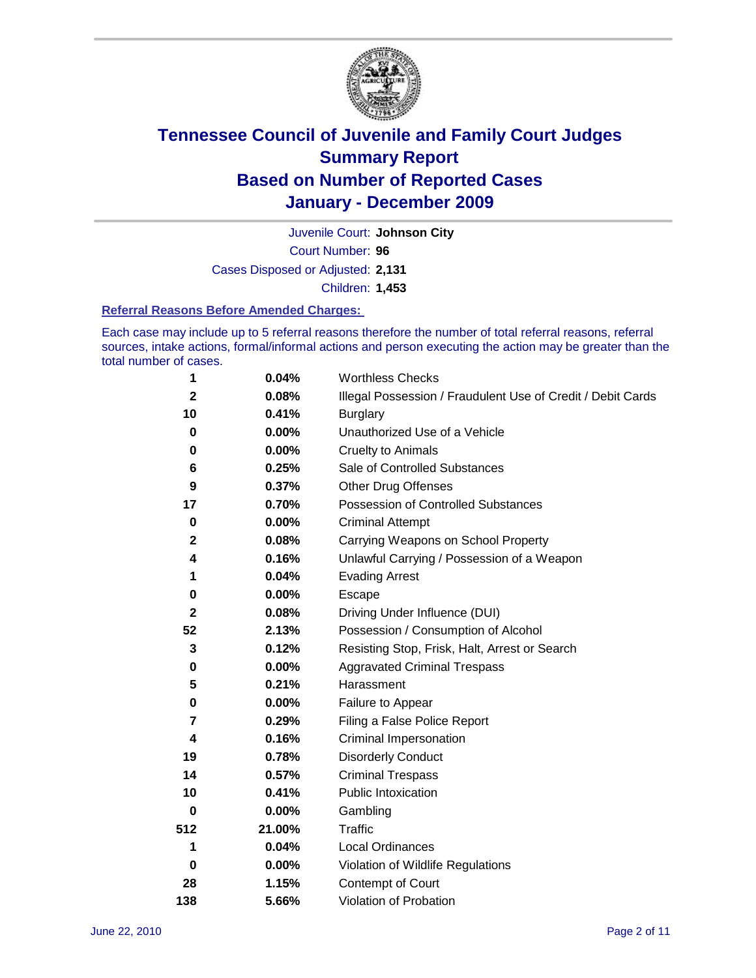

Court Number: **96** Juvenile Court: **Johnson City** Cases Disposed or Adjusted: **2,131** Children: **1,453**

#### **Referral Reasons Before Amended Charges:**

Each case may include up to 5 referral reasons therefore the number of total referral reasons, referral sources, intake actions, formal/informal actions and person executing the action may be greater than the total number of cases.

| 1              | 0.04%    | <b>Worthless Checks</b>                                     |
|----------------|----------|-------------------------------------------------------------|
| $\mathbf 2$    | 0.08%    | Illegal Possession / Fraudulent Use of Credit / Debit Cards |
| 10             | 0.41%    | <b>Burglary</b>                                             |
| $\bf{0}$       | $0.00\%$ | Unauthorized Use of a Vehicle                               |
| 0              | $0.00\%$ | <b>Cruelty to Animals</b>                                   |
| 6              | 0.25%    | Sale of Controlled Substances                               |
| 9              | 0.37%    | <b>Other Drug Offenses</b>                                  |
| 17             | 0.70%    | Possession of Controlled Substances                         |
| $\pmb{0}$      | $0.00\%$ | <b>Criminal Attempt</b>                                     |
| $\mathbf 2$    | 0.08%    | Carrying Weapons on School Property                         |
| 4              | 0.16%    | Unlawful Carrying / Possession of a Weapon                  |
| 1              | 0.04%    | <b>Evading Arrest</b>                                       |
| 0              | 0.00%    | Escape                                                      |
| $\mathbf{2}$   | 0.08%    | Driving Under Influence (DUI)                               |
| 52             | 2.13%    | Possession / Consumption of Alcohol                         |
| 3              | 0.12%    | Resisting Stop, Frisk, Halt, Arrest or Search               |
| 0              | $0.00\%$ | <b>Aggravated Criminal Trespass</b>                         |
| 5              | 0.21%    | Harassment                                                  |
| 0              | 0.00%    | Failure to Appear                                           |
| $\overline{7}$ | 0.29%    | Filing a False Police Report                                |
| 4              | 0.16%    | Criminal Impersonation                                      |
| 19             | 0.78%    | <b>Disorderly Conduct</b>                                   |
| 14             | 0.57%    | <b>Criminal Trespass</b>                                    |
| 10             | 0.41%    | <b>Public Intoxication</b>                                  |
| 0              | $0.00\%$ | Gambling                                                    |
| 512            | 21.00%   | <b>Traffic</b>                                              |
| 1              | 0.04%    | <b>Local Ordinances</b>                                     |
| $\mathbf 0$    | 0.00%    | Violation of Wildlife Regulations                           |
| 28             | 1.15%    | Contempt of Court                                           |
| 138            | 5.66%    | Violation of Probation                                      |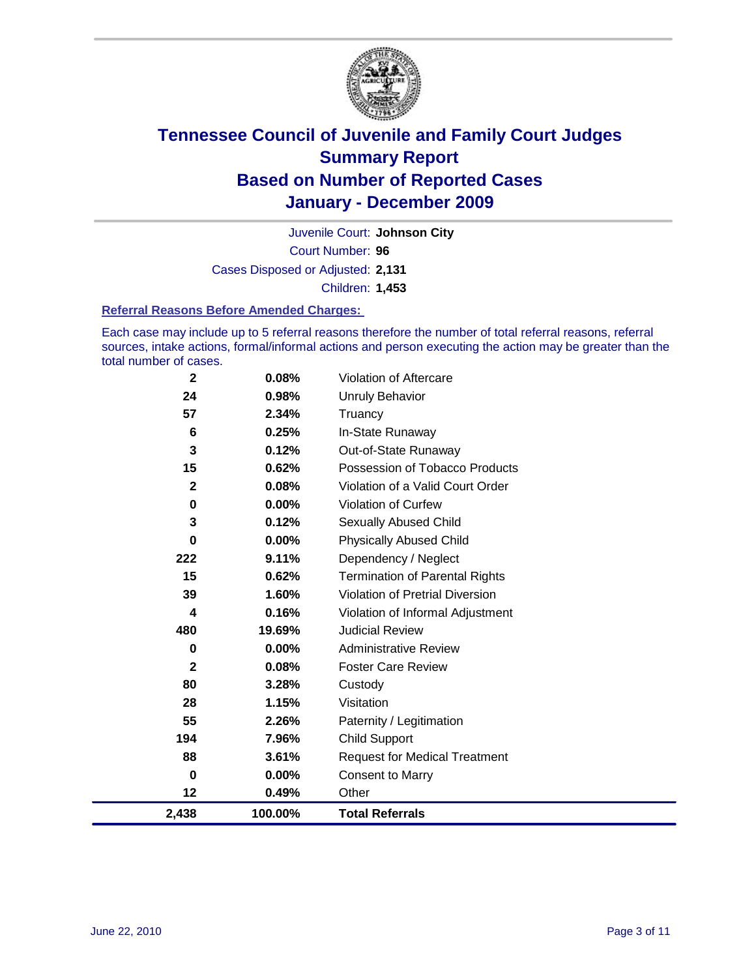

Court Number: **96** Juvenile Court: **Johnson City** Cases Disposed or Adjusted: **2,131** Children: **1,453**

#### **Referral Reasons Before Amended Charges:**

Each case may include up to 5 referral reasons therefore the number of total referral reasons, referral sources, intake actions, formal/informal actions and person executing the action may be greater than the total number of cases.

| $\mathbf 2$ | 0.08%    | Violation of Aftercare                 |
|-------------|----------|----------------------------------------|
| 24          | 0.98%    | <b>Unruly Behavior</b>                 |
| 57          | 2.34%    | Truancy                                |
| 6           | 0.25%    | In-State Runaway                       |
| 3           | 0.12%    | Out-of-State Runaway                   |
| 15          | 0.62%    | Possession of Tobacco Products         |
| $\mathbf 2$ | 0.08%    | Violation of a Valid Court Order       |
| 0           | 0.00%    | Violation of Curfew                    |
| 3           | 0.12%    | Sexually Abused Child                  |
| $\mathbf 0$ | 0.00%    | <b>Physically Abused Child</b>         |
| 222         | 9.11%    | Dependency / Neglect                   |
| 15          | 0.62%    | <b>Termination of Parental Rights</b>  |
| 39          | 1.60%    | <b>Violation of Pretrial Diversion</b> |
| 4           | 0.16%    | Violation of Informal Adjustment       |
| 480         | 19.69%   | <b>Judicial Review</b>                 |
| 0           | 0.00%    | <b>Administrative Review</b>           |
| 2           | 0.08%    | <b>Foster Care Review</b>              |
| 80          | 3.28%    | Custody                                |
| 28          | 1.15%    | Visitation                             |
| 55          | 2.26%    | Paternity / Legitimation               |
| 194         | 7.96%    | <b>Child Support</b>                   |
| 88          | 3.61%    | <b>Request for Medical Treatment</b>   |
| 0           | $0.00\%$ | <b>Consent to Marry</b>                |
| 12          | 0.49%    | Other                                  |
| 2,438       | 100.00%  | <b>Total Referrals</b>                 |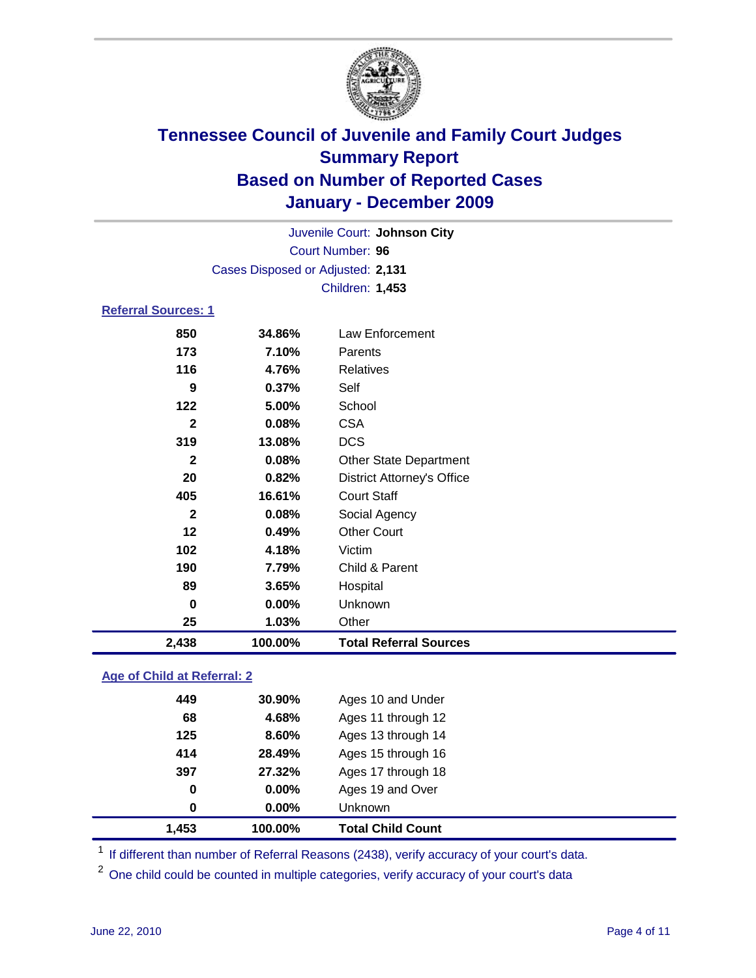

|                            |                                   | Juvenile Court: Johnson City |  |
|----------------------------|-----------------------------------|------------------------------|--|
|                            | Court Number: 96                  |                              |  |
|                            | Cases Disposed or Adjusted: 2,131 |                              |  |
|                            | <b>Children: 1,453</b>            |                              |  |
| <b>Referral Sources: 1</b> |                                   |                              |  |
| 850                        | 34 RG%                            | Law Enforcement              |  |

### **34.86%** Law Enforcement **7.10%** Parents **4.76%** Relatives **0.37%** Self **5.00%** School **0.08%** CSA **13.08%** DCS **0.08%** Other State Department **0.82%** District Attorney's Office **16.61%** Court Staff **0.08%** Social Agency **0.49%** Other Court **4.18%** Victim **7.79%** Child & Parent **3.65%** Hospital **0.00%** Unknown **1.03%** Other **2,438 100.00% Total Referral Sources**

### **Age of Child at Referral: 2**

| 1,453 | 100.00%  | <b>Total Child Count</b> |
|-------|----------|--------------------------|
| 0     | 0.00%    | Unknown                  |
| 0     | $0.00\%$ | Ages 19 and Over         |
| 397   | 27.32%   | Ages 17 through 18       |
| 414   | 28.49%   | Ages 15 through 16       |
| 125   | 8.60%    | Ages 13 through 14       |
| 68    | 4.68%    | Ages 11 through 12       |
| 449   | 30.90%   | Ages 10 and Under        |
|       |          |                          |

<sup>1</sup> If different than number of Referral Reasons (2438), verify accuracy of your court's data.

<sup>2</sup> One child could be counted in multiple categories, verify accuracy of your court's data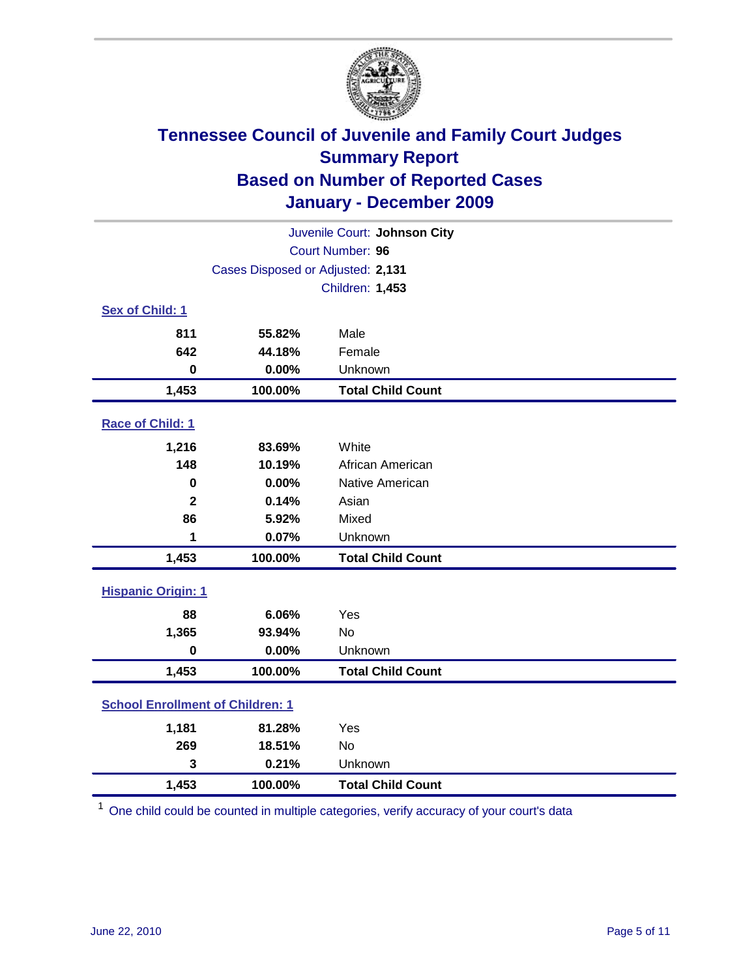

| Juvenile Court: Johnson City            |                                   |                          |  |  |
|-----------------------------------------|-----------------------------------|--------------------------|--|--|
| Court Number: 96                        |                                   |                          |  |  |
|                                         | Cases Disposed or Adjusted: 2,131 |                          |  |  |
|                                         |                                   | Children: 1,453          |  |  |
| Sex of Child: 1                         |                                   |                          |  |  |
| 811                                     | 55.82%                            | Male                     |  |  |
| 642                                     | 44.18%                            | Female                   |  |  |
| $\bf{0}$                                | 0.00%                             | Unknown                  |  |  |
| 1,453                                   | 100.00%                           | <b>Total Child Count</b> |  |  |
| Race of Child: 1                        |                                   |                          |  |  |
| 1,216                                   | 83.69%                            | White                    |  |  |
| 148                                     | 10.19%                            | African American         |  |  |
| $\mathbf 0$                             | 0.00%                             | Native American          |  |  |
| $\overline{2}$                          | 0.14%                             | Asian                    |  |  |
| 86                                      | 5.92%                             | Mixed                    |  |  |
| 1                                       | 0.07%                             | Unknown                  |  |  |
| 1,453                                   | 100.00%                           | <b>Total Child Count</b> |  |  |
| <b>Hispanic Origin: 1</b>               |                                   |                          |  |  |
| 88                                      | 6.06%                             | Yes                      |  |  |
| 1,365                                   | 93.94%                            | <b>No</b>                |  |  |
| $\bf{0}$                                | 0.00%                             | Unknown                  |  |  |
| 1,453                                   | 100.00%                           | <b>Total Child Count</b> |  |  |
| <b>School Enrollment of Children: 1</b> |                                   |                          |  |  |
| 1,181                                   | 81.28%                            | Yes                      |  |  |
| 269                                     | 18.51%                            | <b>No</b>                |  |  |
| 3                                       | 0.21%                             | Unknown                  |  |  |
| 1,453                                   | 100.00%                           | <b>Total Child Count</b> |  |  |

<sup>1</sup> One child could be counted in multiple categories, verify accuracy of your court's data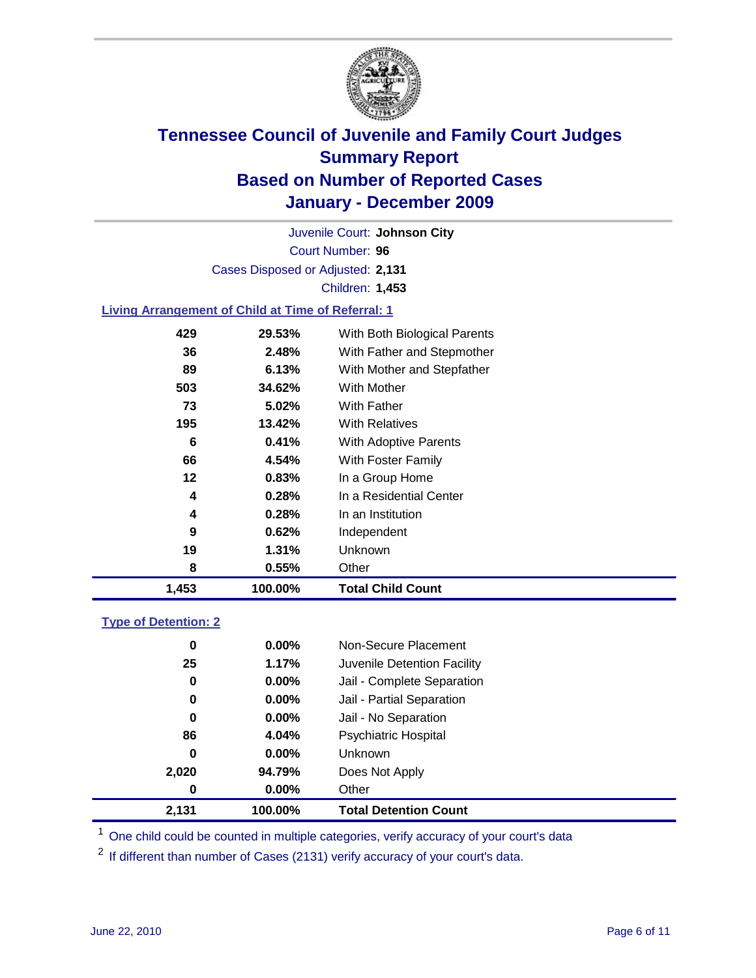

Court Number: **96** Juvenile Court: **Johnson City** Cases Disposed or Adjusted: **2,131** Children: **1,453**

### **Living Arrangement of Child at Time of Referral: 1**

| 1,453 | 100.00% | <b>Total Child Count</b>     |
|-------|---------|------------------------------|
| 8     | 0.55%   | Other                        |
| 19    | 1.31%   | Unknown                      |
| 9     | 0.62%   | Independent                  |
| 4     | 0.28%   | In an Institution            |
| 4     | 0.28%   | In a Residential Center      |
| 12    | 0.83%   | In a Group Home              |
| 66    | 4.54%   | With Foster Family           |
| 6     | 0.41%   | With Adoptive Parents        |
| 195   | 13.42%  | <b>With Relatives</b>        |
| 73    | 5.02%   | <b>With Father</b>           |
| 503   | 34.62%  | With Mother                  |
| 89    | 6.13%   | With Mother and Stepfather   |
| 36    | 2.48%   | With Father and Stepmother   |
| 429   | 29.53%  | With Both Biological Parents |
|       |         |                              |

#### **Type of Detention: 2**

| 2,131 | 100.00%  | <b>Total Detention Count</b> |
|-------|----------|------------------------------|
| 0     | 0.00%    | Other                        |
| 2,020 | 94.79%   | Does Not Apply               |
| 0     | $0.00\%$ | <b>Unknown</b>               |
| 86    | 4.04%    | Psychiatric Hospital         |
| 0     | 0.00%    | Jail - No Separation         |
| 0     | $0.00\%$ | Jail - Partial Separation    |
| 0     | 0.00%    | Jail - Complete Separation   |
| 25    | 1.17%    | Juvenile Detention Facility  |
| 0     | $0.00\%$ | Non-Secure Placement         |
|       |          |                              |

<sup>1</sup> One child could be counted in multiple categories, verify accuracy of your court's data

<sup>2</sup> If different than number of Cases (2131) verify accuracy of your court's data.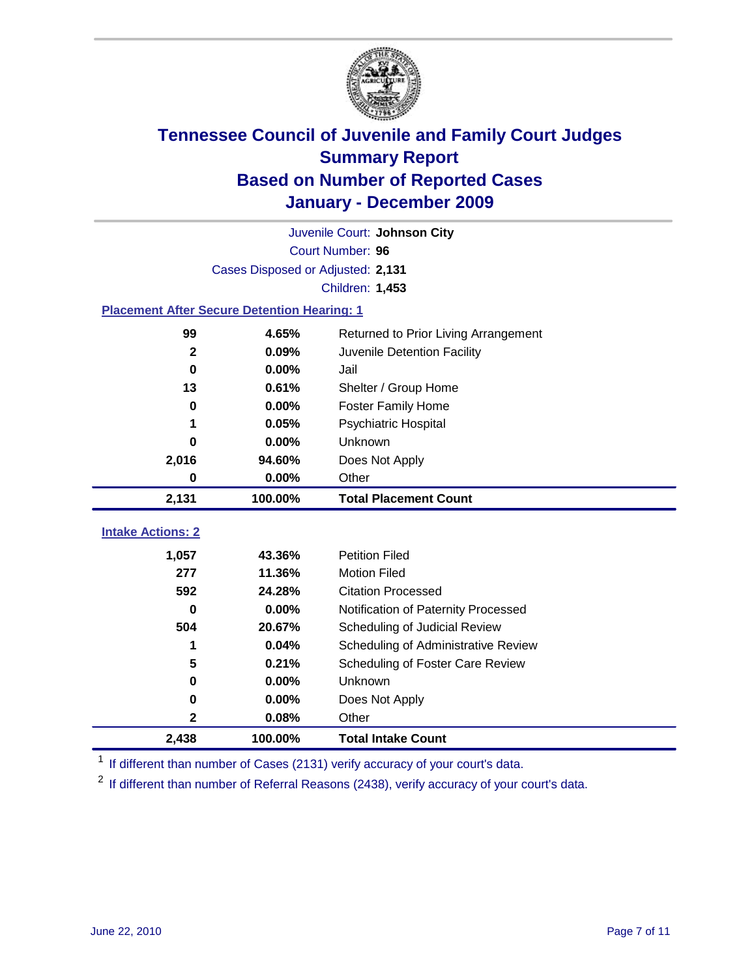

|                                                    | Juvenile Court: Johnson City      |                                      |  |  |  |
|----------------------------------------------------|-----------------------------------|--------------------------------------|--|--|--|
|                                                    | Court Number: 96                  |                                      |  |  |  |
|                                                    | Cases Disposed or Adjusted: 2,131 |                                      |  |  |  |
|                                                    |                                   | Children: 1,453                      |  |  |  |
| <b>Placement After Secure Detention Hearing: 1</b> |                                   |                                      |  |  |  |
| 99                                                 | 4.65%                             | Returned to Prior Living Arrangement |  |  |  |
| $\mathbf{2}$                                       | 0.09%                             | Juvenile Detention Facility          |  |  |  |
| $\bf{0}$                                           | 0.00%                             | Jail                                 |  |  |  |
| 13                                                 | 0.61%                             | Shelter / Group Home                 |  |  |  |
| 0                                                  | 0.00%                             | <b>Foster Family Home</b>            |  |  |  |
| 1                                                  | 0.05%                             | Psychiatric Hospital                 |  |  |  |
| 0                                                  | 0.00%                             | Unknown                              |  |  |  |
| 2,016                                              | 94.60%                            | Does Not Apply                       |  |  |  |
| $\bf{0}$                                           | 0.00%                             | Other                                |  |  |  |
| 2,131                                              | 100.00%                           | <b>Total Placement Count</b>         |  |  |  |
| <b>Intake Actions: 2</b>                           |                                   |                                      |  |  |  |
|                                                    |                                   |                                      |  |  |  |
| 1,057                                              | 43.36%                            | <b>Petition Filed</b>                |  |  |  |
| 277                                                | 11.36%                            | <b>Motion Filed</b>                  |  |  |  |
| 592                                                | 24.28%                            | <b>Citation Processed</b>            |  |  |  |
| 0                                                  | 0.00%                             | Notification of Paternity Processed  |  |  |  |
| 504                                                |                                   |                                      |  |  |  |
|                                                    | 20.67%                            | Scheduling of Judicial Review        |  |  |  |
| 1                                                  | 0.04%                             | Scheduling of Administrative Review  |  |  |  |
| 5                                                  | 0.21%                             | Scheduling of Foster Care Review     |  |  |  |
| $\bf{0}$                                           | 0.00%                             | Unknown                              |  |  |  |
| 0                                                  | 0.00%                             | Does Not Apply                       |  |  |  |
| 2                                                  | 0.08%                             | Other                                |  |  |  |

<sup>1</sup> If different than number of Cases (2131) verify accuracy of your court's data.

<sup>2</sup> If different than number of Referral Reasons (2438), verify accuracy of your court's data.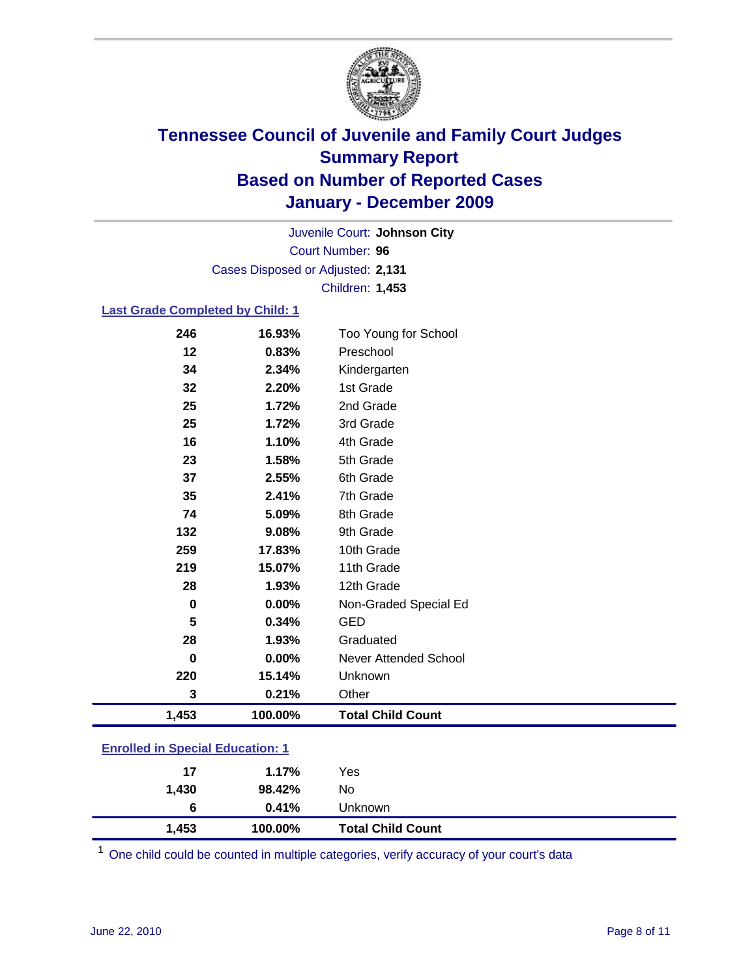

Court Number: **96** Juvenile Court: **Johnson City** Cases Disposed or Adjusted: **2,131** Children: **1,453**

### **Last Grade Completed by Child: 1**

| 246                                     | 16.93%  | Too Young for School         |  |
|-----------------------------------------|---------|------------------------------|--|
| 12                                      | 0.83%   | Preschool                    |  |
| 34                                      | 2.34%   | Kindergarten                 |  |
| 32                                      | 2.20%   | 1st Grade                    |  |
| 25                                      | 1.72%   | 2nd Grade                    |  |
| 25                                      | 1.72%   | 3rd Grade                    |  |
| 16                                      | 1.10%   | 4th Grade                    |  |
| 23                                      | 1.58%   | 5th Grade                    |  |
| 37                                      | 2.55%   | 6th Grade                    |  |
| 35                                      | 2.41%   | 7th Grade                    |  |
| 74                                      | 5.09%   | 8th Grade                    |  |
| 132                                     | 9.08%   | 9th Grade                    |  |
| 259                                     | 17.83%  | 10th Grade                   |  |
| 219                                     | 15.07%  | 11th Grade                   |  |
| 28                                      | 1.93%   | 12th Grade                   |  |
| $\mathbf 0$                             | 0.00%   | Non-Graded Special Ed        |  |
| 5                                       | 0.34%   | <b>GED</b>                   |  |
| 28                                      | 1.93%   | Graduated                    |  |
| 0                                       | 0.00%   | <b>Never Attended School</b> |  |
| 220                                     | 15.14%  | Unknown                      |  |
| 3                                       | 0.21%   | Other                        |  |
| 1,453                                   | 100.00% | <b>Total Child Count</b>     |  |
| <b>Enrolled in Special Education: 1</b> |         |                              |  |

| 1,453 | 100.00% | <b>Total Child Count</b> |  |
|-------|---------|--------------------------|--|
| 6     | 0.41%   | Unknown                  |  |
| 1,430 | 98.42%  | No                       |  |
| 17    | 1.17%   | Yes                      |  |
|       |         |                          |  |

One child could be counted in multiple categories, verify accuracy of your court's data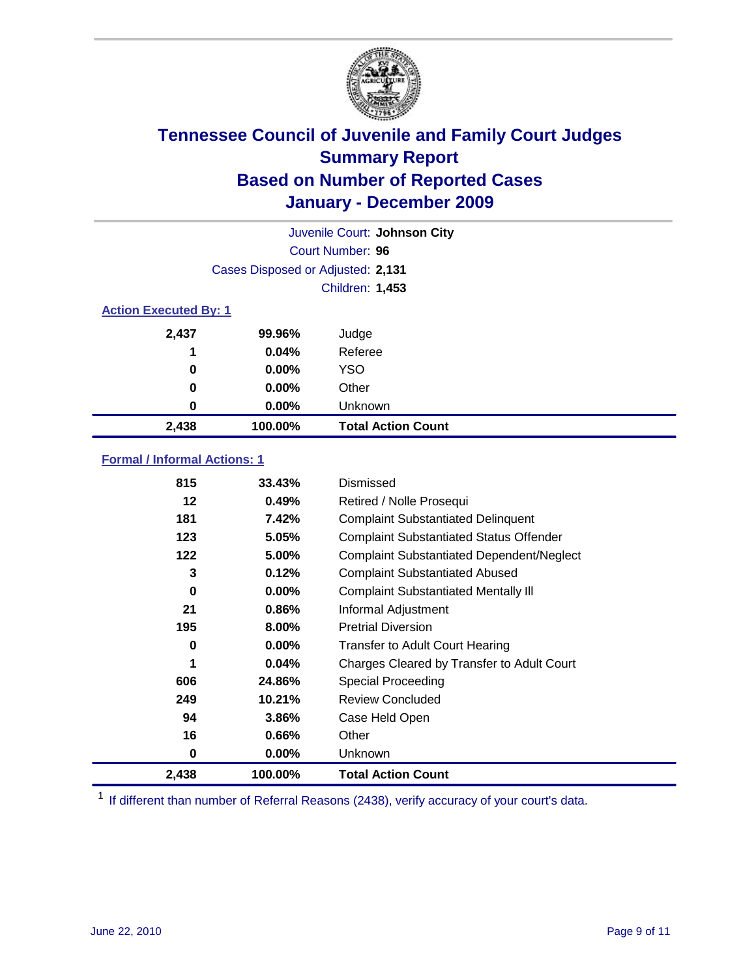

| Juvenile Court: Johnson City |                                   |                           |  |  |
|------------------------------|-----------------------------------|---------------------------|--|--|
|                              | Court Number: 96                  |                           |  |  |
|                              | Cases Disposed or Adjusted: 2,131 |                           |  |  |
|                              |                                   | Children: 1,453           |  |  |
| <b>Action Executed By: 1</b> |                                   |                           |  |  |
| 2,437                        | 99.96%                            | Judge                     |  |  |
| 1                            | 0.04%                             | Referee                   |  |  |
| 0                            | $0.00\%$                          | <b>YSO</b>                |  |  |
| 0                            | 0.00%                             | Other                     |  |  |
| 0                            | $0.00\%$                          | Unknown                   |  |  |
| 2,438                        | 100.00%                           | <b>Total Action Count</b> |  |  |

### **Formal / Informal Actions: 1**

| 815   | 33.43%   | Dismissed                                        |
|-------|----------|--------------------------------------------------|
| 12    | 0.49%    | Retired / Nolle Prosequi                         |
| 181   | 7.42%    | <b>Complaint Substantiated Delinquent</b>        |
| 123   | 5.05%    | <b>Complaint Substantiated Status Offender</b>   |
| 122   | 5.00%    | <b>Complaint Substantiated Dependent/Neglect</b> |
| 3     | 0.12%    | <b>Complaint Substantiated Abused</b>            |
| 0     | $0.00\%$ | <b>Complaint Substantiated Mentally III</b>      |
| 21    | 0.86%    | Informal Adjustment                              |
| 195   | 8.00%    | <b>Pretrial Diversion</b>                        |
| 0     | $0.00\%$ | <b>Transfer to Adult Court Hearing</b>           |
| 1     | 0.04%    | Charges Cleared by Transfer to Adult Court       |
| 606   | 24.86%   | <b>Special Proceeding</b>                        |
| 249   | 10.21%   | <b>Review Concluded</b>                          |
| 94    | 3.86%    | Case Held Open                                   |
| 16    | $0.66\%$ | Other                                            |
| 0     | 0.00%    | <b>Unknown</b>                                   |
| 2,438 | 100.00%  | <b>Total Action Count</b>                        |

<sup>1</sup> If different than number of Referral Reasons (2438), verify accuracy of your court's data.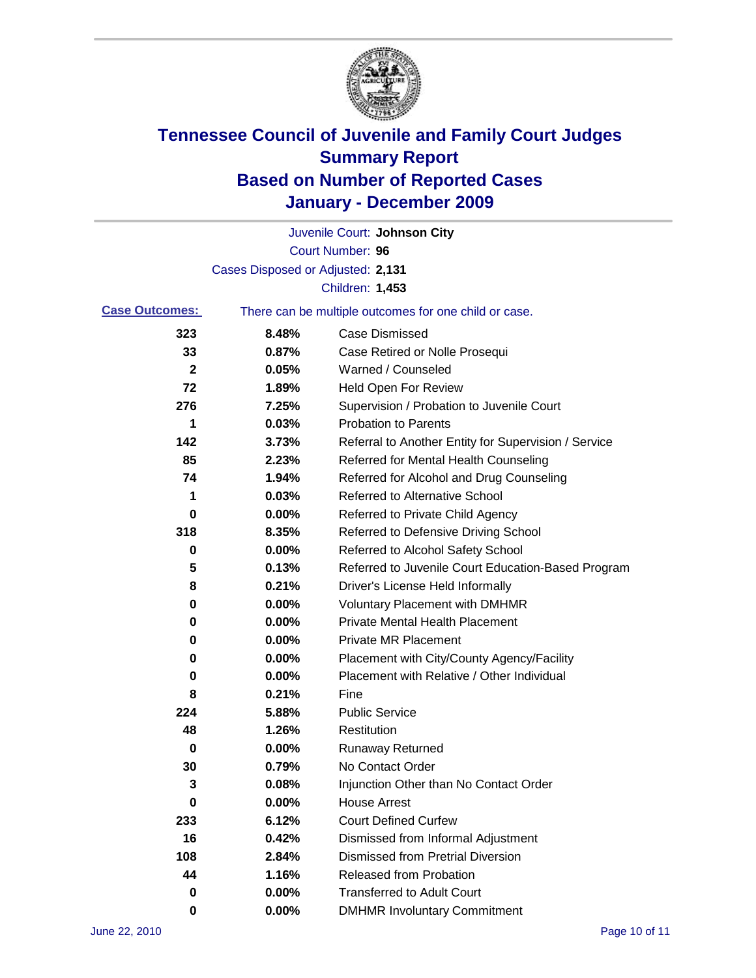

|                       |                                   | Juvenile Court: Johnson City                          |
|-----------------------|-----------------------------------|-------------------------------------------------------|
|                       |                                   | Court Number: 96                                      |
|                       | Cases Disposed or Adjusted: 2,131 |                                                       |
|                       |                                   | Children: 1,453                                       |
| <b>Case Outcomes:</b> |                                   | There can be multiple outcomes for one child or case. |
| 323                   | 8.48%                             | <b>Case Dismissed</b>                                 |
| 33                    | 0.87%                             | Case Retired or Nolle Prosequi                        |
| 2                     | 0.05%                             | Warned / Counseled                                    |
| 72                    | 1.89%                             | <b>Held Open For Review</b>                           |
| 276                   | 7.25%                             | Supervision / Probation to Juvenile Court             |
| 1                     | 0.03%                             | <b>Probation to Parents</b>                           |
| 142                   | 3.73%                             | Referral to Another Entity for Supervision / Service  |
| 85                    | 2.23%                             | Referred for Mental Health Counseling                 |
| 74                    | 1.94%                             | Referred for Alcohol and Drug Counseling              |
| 1                     | 0.03%                             | <b>Referred to Alternative School</b>                 |
| 0                     | 0.00%                             | Referred to Private Child Agency                      |
| 318                   | 8.35%                             | Referred to Defensive Driving School                  |
| 0                     | 0.00%                             | Referred to Alcohol Safety School                     |
| 5                     | 0.13%                             | Referred to Juvenile Court Education-Based Program    |
| 8                     | 0.21%                             | Driver's License Held Informally                      |
| 0                     | 0.00%                             | <b>Voluntary Placement with DMHMR</b>                 |
| 0                     | 0.00%                             | <b>Private Mental Health Placement</b>                |
| 0                     | 0.00%                             | <b>Private MR Placement</b>                           |
| 0                     | 0.00%                             | Placement with City/County Agency/Facility            |
| 0                     | 0.00%                             | Placement with Relative / Other Individual            |
| 8                     | 0.21%                             | Fine                                                  |
| 224                   | 5.88%                             | <b>Public Service</b>                                 |
| 48                    | 1.26%                             | Restitution                                           |
| 0                     | 0.00%                             | <b>Runaway Returned</b>                               |
| 30                    | 0.79%                             | No Contact Order                                      |
| 3                     | 0.08%                             | Injunction Other than No Contact Order                |
| 0                     | 0.00%                             | <b>House Arrest</b>                                   |
| 233                   | 6.12%                             | <b>Court Defined Curfew</b>                           |
| 16                    | 0.42%                             | Dismissed from Informal Adjustment                    |
| 108                   | 2.84%                             | <b>Dismissed from Pretrial Diversion</b>              |
| 44                    | 1.16%                             | Released from Probation                               |
| 0                     | 0.00%                             | <b>Transferred to Adult Court</b>                     |
| 0                     | $0.00\%$                          | <b>DMHMR Involuntary Commitment</b>                   |